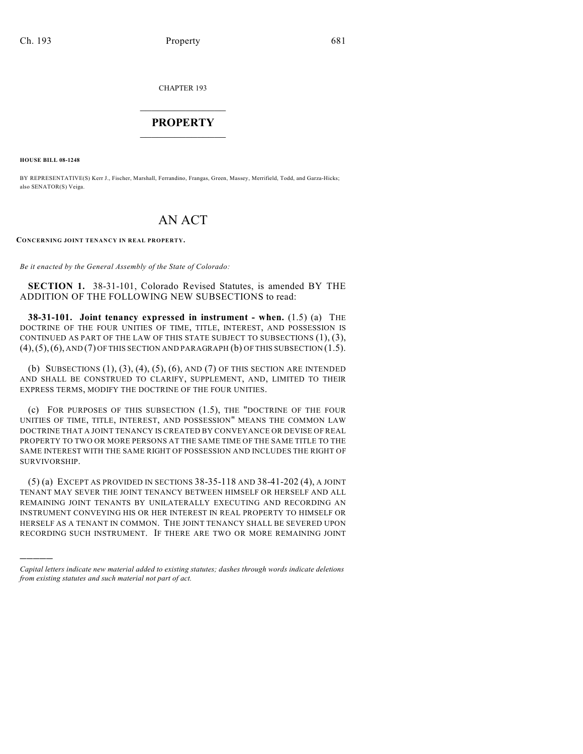CHAPTER 193

## $\overline{\phantom{a}}$  . The set of the set of the set of the set of the set of the set of the set of the set of the set of the set of the set of the set of the set of the set of the set of the set of the set of the set of the set o **PROPERTY**  $\_$   $\_$   $\_$   $\_$   $\_$   $\_$   $\_$   $\_$   $\_$

**HOUSE BILL 08-1248**

)))))

BY REPRESENTATIVE(S) Kerr J., Fischer, Marshall, Ferrandino, Frangas, Green, Massey, Merrifield, Todd, and Garza-Hicks; also SENATOR(S) Veiga.

## AN ACT

**CONCERNING JOINT TENANCY IN REAL PROPERTY.**

*Be it enacted by the General Assembly of the State of Colorado:*

**SECTION 1.** 38-31-101, Colorado Revised Statutes, is amended BY THE ADDITION OF THE FOLLOWING NEW SUBSECTIONS to read:

**38-31-101. Joint tenancy expressed in instrument - when.** (1.5) (a) THE DOCTRINE OF THE FOUR UNITIES OF TIME, TITLE, INTEREST, AND POSSESSION IS CONTINUED AS PART OF THE LAW OF THIS STATE SUBJECT TO SUBSECTIONS (1), (3),  $(4)$ ,  $(5)$ ,  $(6)$ , AND  $(7)$  OF THIS SECTION AND PARAGRAPH  $(b)$  OF THIS SUBSECTION  $(1.5)$ .

(b) SUBSECTIONS  $(1)$ ,  $(3)$ ,  $(4)$ ,  $(5)$ ,  $(6)$ , AND  $(7)$  OF THIS SECTION ARE INTENDED AND SHALL BE CONSTRUED TO CLARIFY, SUPPLEMENT, AND, LIMITED TO THEIR EXPRESS TERMS, MODIFY THE DOCTRINE OF THE FOUR UNITIES.

(c) FOR PURPOSES OF THIS SUBSECTION (1.5), THE "DOCTRINE OF THE FOUR UNITIES OF TIME, TITLE, INTEREST, AND POSSESSION" MEANS THE COMMON LAW DOCTRINE THAT A JOINT TENANCY IS CREATED BY CONVEYANCE OR DEVISE OF REAL PROPERTY TO TWO OR MORE PERSONS AT THE SAME TIME OF THE SAME TITLE TO THE SAME INTEREST WITH THE SAME RIGHT OF POSSESSION AND INCLUDES THE RIGHT OF SURVIVORSHIP.

(5) (a) EXCEPT AS PROVIDED IN SECTIONS 38-35-118 AND 38-41-202 (4), A JOINT TENANT MAY SEVER THE JOINT TENANCY BETWEEN HIMSELF OR HERSELF AND ALL REMAINING JOINT TENANTS BY UNILATERALLY EXECUTING AND RECORDING AN INSTRUMENT CONVEYING HIS OR HER INTEREST IN REAL PROPERTY TO HIMSELF OR HERSELF AS A TENANT IN COMMON. THE JOINT TENANCY SHALL BE SEVERED UPON RECORDING SUCH INSTRUMENT. IF THERE ARE TWO OR MORE REMAINING JOINT

*Capital letters indicate new material added to existing statutes; dashes through words indicate deletions from existing statutes and such material not part of act.*